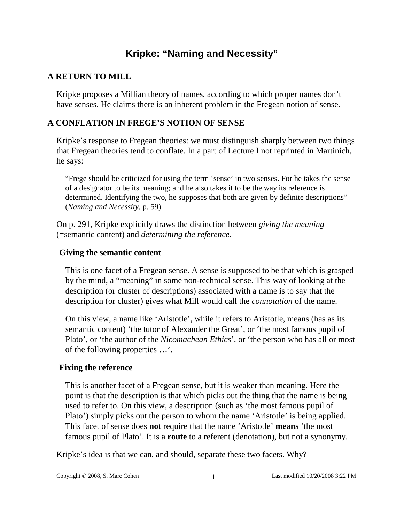# **Kripke: "Naming and Necessity"**

# **A RETURN TO MILL**

Kripke proposes a Millian theory of names, according to which proper names don't have senses. He claims there is an inherent problem in the Fregean notion of sense.

# **A CONFLATION IN FREGE'S NOTION OF SENSE**

Kripke's response to Fregean theories: we must distinguish sharply between two things that Fregean theories tend to conflate. In a part of Lecture I not reprinted in Martinich, he says:

"Frege should be criticized for using the term 'sense' in two senses. For he takes the sense of a designator to be its meaning; and he also takes it to be the way its reference is determined. Identifying the two, he supposes that both are given by definite descriptions" (*Naming and Necessity*, p. 59).

On p. 291, Kripke explicitly draws the distinction between *giving the meaning* (=semantic content) and *determining the reference*.

### **Giving the semantic content**

This is one facet of a Fregean sense. A sense is supposed to be that which is grasped by the mind, a "meaning" in some non-technical sense. This way of looking at the description (or cluster of descriptions) associated with a name is to say that the description (or cluster) gives what Mill would call the *connotation* of the name.

On this view, a name like 'Aristotle', while it refers to Aristotle, means (has as its semantic content) 'the tutor of Alexander the Great', or 'the most famous pupil of Plato', or 'the author of the *Nicomachean Ethics*', or 'the person who has all or most of the following properties …'.

### **Fixing the reference**

This is another facet of a Fregean sense, but it is weaker than meaning. Here the point is that the description is that which picks out the thing that the name is being used to refer to. On this view, a description (such as 'the most famous pupil of Plato') simply picks out the person to whom the name 'Aristotle' is being applied. This facet of sense does **not** require that the name 'Aristotle' **means** 'the most famous pupil of Plato'. It is a **route** to a referent (denotation), but not a synonymy.

Kripke's idea is that we can, and should, separate these two facets. Why?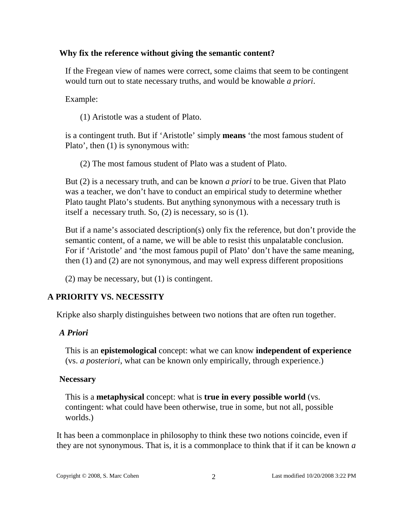### **Why fix the reference without giving the semantic content?**

If the Fregean view of names were correct, some claims that seem to be contingent would turn out to state necessary truths, and would be knowable *a priori*.

Example:

(1) Aristotle was a student of Plato.

is a contingent truth. But if 'Aristotle' simply **means** 'the most famous student of Plato', then (1) is synonymous with:

(2) The most famous student of Plato was a student of Plato.

But (2) is a necessary truth, and can be known *a priori* to be true. Given that Plato was a teacher, we don't have to conduct an empirical study to determine whether Plato taught Plato's students. But anything synonymous with a necessary truth is itself a necessary truth. So, (2) is necessary, so is (1).

But if a name's associated description(s) only fix the reference, but don't provide the semantic content, of a name, we will be able to resist this unpalatable conclusion. For if 'Aristotle' and 'the most famous pupil of Plato' don't have the same meaning, then (1) and (2) are not synonymous, and may well express different propositions

(2) may be necessary, but (1) is contingent.

# **A PRIORITY VS. NECESSITY**

Kripke also sharply distinguishes between two notions that are often run together.

# *A Priori*

This is an **epistemological** concept: what we can know **independent of experience** (vs. *a posteriori*, what can be known only empirically, through experience.)

# **Necessary**

This is a **metaphysical** concept: what is **true in every possible world** (vs. contingent: what could have been otherwise, true in some, but not all, possible worlds.)

It has been a commonplace in philosophy to think these two notions coincide, even if they are not synonymous. That is, it is a commonplace to think that if it can be known *a*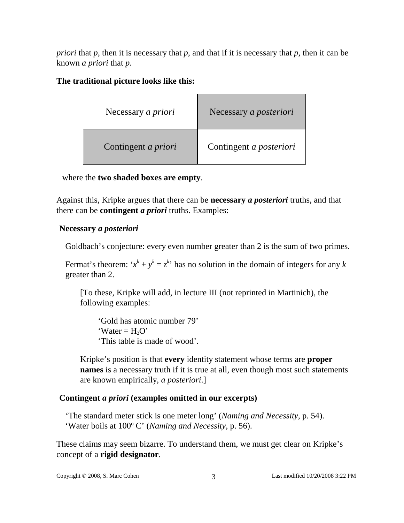*priori* that *p*, then it is necessary that *p*, and that if it is necessary that *p*, then it can be known *a priori* that *p*.

## **The traditional picture looks like this:**

| Necessary <i>a priori</i>  | Necessary a posteriori  |
|----------------------------|-------------------------|
| Contingent <i>a priori</i> | Contingent a posteriori |

where the **two shaded boxes are empty**.

Against this, Kripke argues that there can be **necessary** *a posteriori* truths, and that there can be **contingent** *a priori* truths. Examples:

# **Necessary** *a posteriori*

Goldbach's conjecture: every even number greater than 2 is the sum of two primes.

Fermat's theorem: ' $x^k + y^k = z^k$ ' has no solution in the domain of integers for any *k* greater than 2.

[To these, Kripke will add, in lecture III (not reprinted in Martinich), the following examples:

'Gold has atomic number 79'  $\text{Var} = H_2O'$ 'This table is made of wood'.

Kripke's position is that **every** identity statement whose terms are **proper names** is a necessary truth if it is true at all, even though most such statements are known empirically, *a posteriori*.]

# **Contingent** *a priori* **(examples omitted in our excerpts)**

'The standard meter stick is one meter long' (*Naming and Necessity*, p. 54). 'Water boils at 100º C' (*Naming and Necessity*, p. 56).

These claims may seem bizarre. To understand them, we must get clear on Kripke's concept of a **rigid designator**.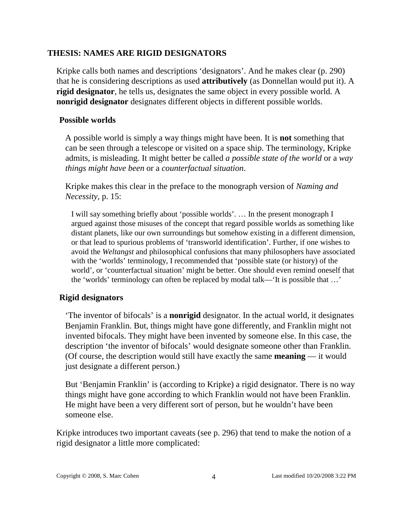### **THESIS: NAMES ARE RIGID DESIGNATORS**

Kripke calls both names and descriptions 'designators'. And he makes clear (p. 290) that he is considering descriptions as used **attributively** (as Donnellan would put it). A **rigid designator**, he tells us, designates the same object in every possible world. A **nonrigid designator** designates different objects in different possible worlds.

### **Possible worlds**

A possible world is simply a way things might have been. It is **not** something that can be seen through a telescope or visited on a space ship. The terminology, Kripke admits, is misleading. It might better be called *a possible state of the world* or a *way things might have been* or a *counterfactual situation*.

Kripke makes this clear in the preface to the monograph version of *Naming and Necessity*, p. 15:

I will say something briefly about 'possible worlds'. … In the present monograph I argued against those misuses of the concept that regard possible worlds as something like distant planets, like our own surroundings but somehow existing in a different dimension, or that lead to spurious problems of 'transworld identification'. Further, if one wishes to avoid the *Weltangst* and philosophical confusions that many philosophers have associated with the 'worlds' terminology, I recommended that 'possible state (or history) of the world', or 'counterfactual situation' might be better. One should even remind oneself that the 'worlds' terminology can often be replaced by modal talk—'It is possible that …'

### **Rigid designators**

'The inventor of bifocals' is a **nonrigid** designator. In the actual world, it designates Benjamin Franklin. But, things might have gone differently, and Franklin might not invented bifocals. They might have been invented by someone else. In this case, the description 'the inventor of bifocals' would designate someone other than Franklin. (Of course, the description would still have exactly the same **meaning** — it would just designate a different person.)

But 'Benjamin Franklin' is (according to Kripke) a rigid designator. There is no way things might have gone according to which Franklin would not have been Franklin. He might have been a very different sort of person, but he wouldn't have been someone else.

Kripke introduces two important caveats (see p. 296) that tend to make the notion of a rigid designator a little more complicated: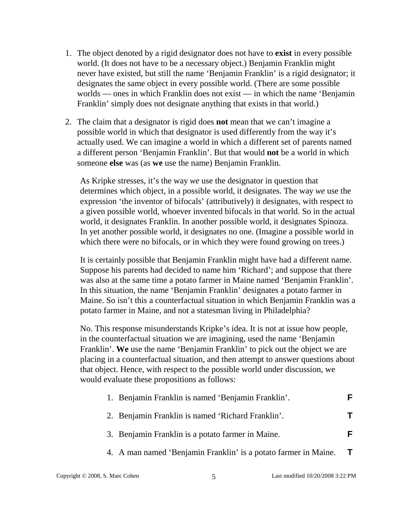- 1. The object denoted by a rigid designator does not have to **exist** in every possible world. (It does not have to be a necessary object.) Benjamin Franklin might never have existed, but still the name 'Benjamin Franklin' is a rigid designator; it designates the same object in every possible world. (There are some possible worlds — ones in which Franklin does not exist — in which the name 'Benjamin Franklin' simply does not designate anything that exists in that world.)
- 2. The claim that a designator is rigid does **not** mean that we can't imagine a possible world in which that designator is used differently from the way it's actually used. We can imagine a world in which a different set of parents named a different person 'Benjamin Franklin'. But that would **not** be a world in which someone **else** was (as **we** use the name) Benjamin Franklin.

As Kripke stresses, it's the way *we* use the designator in question that determines which object, in a possible world, it designates. The way *we* use the expression 'the inventor of bifocals' (attributively) it designates, with respect to a given possible world, whoever invented bifocals in that world. So in the actual world, it designates Franklin. In another possible world, it designates Spinoza. In yet another possible world, it designates no one. (Imagine a possible world in which there were no bifocals, or in which they were found growing on trees.)

It is certainly possible that Benjamin Franklin might have had a different name. Suppose his parents had decided to name him 'Richard'; and suppose that there was also at the same time a potato farmer in Maine named 'Benjamin Franklin'. In this situation, the name 'Benjamin Franklin' designates a potato farmer in Maine. So isn't this a counterfactual situation in which Benjamin Franklin was a potato farmer in Maine, and not a statesman living in Philadelphia?

No. This response misunderstands Kripke's idea. It is not at issue how people, in the counterfactual situation we are imagining, used the name 'Benjamin Franklin'. **We** use the name 'Benjamin Franklin' to pick out the object we are placing in a counterfactual situation, and then attempt to answer questions about that object. Hence, with respect to the possible world under discussion, we would evaluate these propositions as follows:

| 1. Benjamin Franklin is named 'Benjamin Franklin'. |  |
|----------------------------------------------------|--|
| 2. Benjamin Franklin is named 'Richard Franklin'.  |  |
| 3. Benjamin Franklin is a potato farmer in Maine.  |  |

4. A man named 'Benjamin Franklin' is a potato farmer in Maine. **T**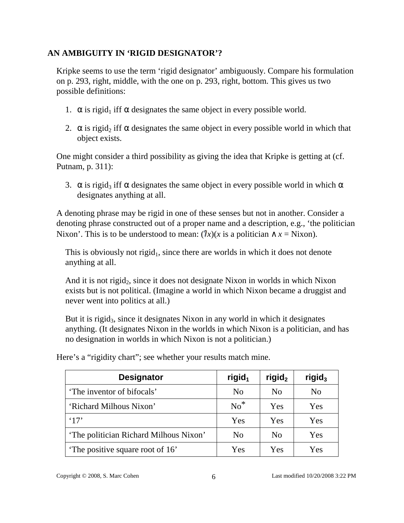# **AN AMBIGUITY IN 'RIGID DESIGNATOR'?**

Kripke seems to use the term 'rigid designator' ambiguously. Compare his formulation on p. 293, right, middle, with the one on p. 293, right, bottom. This gives us two possible definitions:

- 1.  $\alpha$  is rigid<sub>1</sub> iff  $\alpha$  designates the same object in every possible world.
- 2.  $\alpha$  is rigid<sub>2</sub> iff  $\alpha$  designates the same object in every possible world in which that object exists.

One might consider a third possibility as giving the idea that Kripke is getting at (cf. Putnam, p. 311):

3.  $\alpha$  is rigid<sub>3</sub> iff  $\alpha$  designates the same object in every possible world in which  $\alpha$ designates anything at all.

A denoting phrase may be rigid in one of these senses but not in another. Consider a denoting phrase constructed out of a proper name and a description, e.g., 'the politician Nixon'. This is to be understood to mean:  $(lx)(x)$  is a politician  $\wedge x =$  Nixon).

This is obviously not rigid<sub>1</sub>, since there are worlds in which it does not denote anything at all.

And it is not rigid<sub>2</sub>, since it does not designate Nixon in worlds in which Nixon exists but is not political. (Imagine a world in which Nixon became a druggist and never went into politics at all.)

But it is rigid<sub>3</sub>, since it designates Nixon in any world in which it designates anything. (It designates Nixon in the worlds in which Nixon is a politician, and has no designation in worlds in which Nixon is not a politician.)

| <b>Designator</b>                      | rigid <sub>1</sub> | rigid <sub>2</sub> | rigid <sub>3</sub> |
|----------------------------------------|--------------------|--------------------|--------------------|
| 'The inventor of bifocals'             | N <sub>0</sub>     | N <sub>0</sub>     | N <sub>0</sub>     |
| 'Richard Milhous Nixon'                | $No^*$             | Yes                | Yes                |
| $^{\circ}17'$                          | <b>Yes</b>         | Yes                | Yes                |
| 'The politician Richard Milhous Nixon' | N <sub>0</sub>     | N <sub>0</sub>     | Yes                |
| The positive square root of 16'        | Yes                | Yes                | Yes                |

Here's a "rigidity chart"; see whether your results match mine.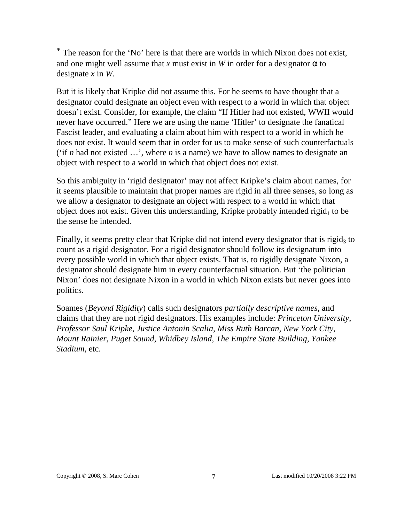\* The reason for the 'No' here is that there are worlds in which Nixon does not exist, and one might well assume that *x* must exist in *W* in order for a designator  $\alpha$  to designate *x* in *W*.

But it is likely that Kripke did not assume this. For he seems to have thought that a designator could designate an object even with respect to a world in which that object doesn't exist. Consider, for example, the claim "If Hitler had not existed, WWII would never have occurred." Here we are using the name 'Hitler' to designate the fanatical Fascist leader, and evaluating a claim about him with respect to a world in which he does not exist. It would seem that in order for us to make sense of such counterfactuals ('if *n* had not existed …', where *n* is a name) we have to allow names to designate an object with respect to a world in which that object does not exist.

So this ambiguity in 'rigid designator' may not affect Kripke's claim about names, for it seems plausible to maintain that proper names are rigid in all three senses, so long as we allow a designator to designate an object with respect to a world in which that object does not exist. Given this understanding, Kripke probably intended rigid<sub>1</sub> to be the sense he intended.

Finally, it seems pretty clear that Kripke did not intend every designator that is rigid<sub>3</sub> to count as a rigid designator. For a rigid designator should follow its designatum into every possible world in which that object exists. That is, to rigidly designate Nixon, a designator should designate him in every counterfactual situation. But 'the politician Nixon' does not designate Nixon in a world in which Nixon exists but never goes into politics.

Soames (*Beyond Rigidity*) calls such designators *partially descriptive names*, and claims that they are not rigid designators. His examples include: *Princeton University*, *Professor Saul Kripke*, *Justice Antonin Scalia*, *Miss Ruth Barcan*, *New York City*, *Mount Rainier*, *Puget Sound*, *Whidbey Island*, *The Empire State Building*, *Yankee Stadium*, etc.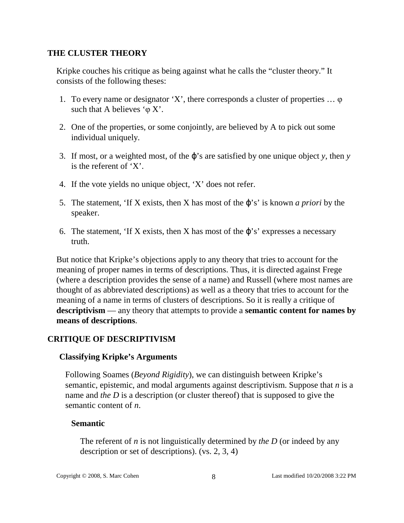### **THE CLUSTER THEORY**

Kripke couches his critique as being against what he calls the "cluster theory." It consists of the following theses:

- 1. To every name or designator 'X', there corresponds a cluster of properties … φ such that A believes  $\varphi$  X'.
- 2. One of the properties, or some conjointly, are believed by A to pick out some individual uniquely.
- 3. If most, or a weighted most, of the ϕ's are satisfied by one unique object *y*, then *y* is the referent of 'X'.
- 4. If the vote yields no unique object, 'X' does not refer.
- 5. The statement, 'If X exists, then X has most of the ϕ's' is known *a priori* by the speaker.
- 6. The statement, 'If X exists, then X has most of the  $\varphi$ 's' expresses a necessary truth.

But notice that Kripke's objections apply to any theory that tries to account for the meaning of proper names in terms of descriptions. Thus, it is directed against Frege (where a description provides the sense of a name) and Russell (where most names are thought of as abbreviated descriptions) as well as a theory that tries to account for the meaning of a name in terms of clusters of descriptions. So it is really a critique of **descriptivism** — any theory that attempts to provide a **semantic content for names by means of descriptions**.

### **CRITIQUE OF DESCRIPTIVISM**

### **Classifying Kripke's Arguments**

Following Soames (*Beyond Rigidity*), we can distinguish between Kripke's semantic, epistemic, and modal arguments against descriptivism. Suppose that *n* is a name and *the D* is a description (or cluster thereof) that is supposed to give the semantic content of *n*.

### **Semantic**

The referent of *n* is not linguistically determined by *the D* (or indeed by any description or set of descriptions). (vs. 2, 3, 4)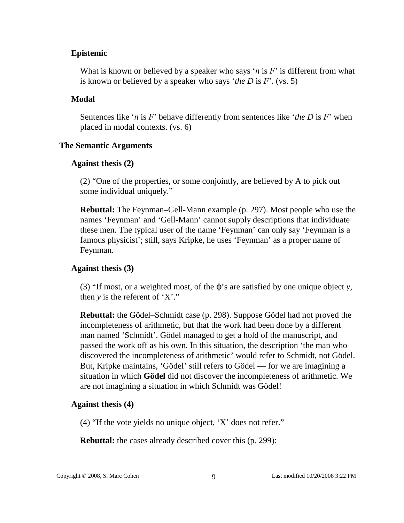### **Epistemic**

What is known or believed by a speaker who says '*n* is *F*' is different from what is known or believed by a speaker who says '*the D* is *F*'. (vs. 5)

#### **Modal**

Sentences like '*n* is *F*' behave differently from sentences like '*the D* is *F*' when placed in modal contexts. (vs. 6)

#### **The Semantic Arguments**

#### **Against thesis (2)**

(2) "One of the properties, or some conjointly, are believed by A to pick out some individual uniquely."

**Rebuttal:** The Feynman–Gell-Mann example (p. 297). Most people who use the names 'Feynman' and 'Gell-Mann' cannot supply descriptions that individuate these men. The typical user of the name 'Feynman' can only say 'Feynman is a famous physicist'; still, says Kripke, he uses 'Feynman' as a proper name of Feynman.

### **Against thesis (3)**

(3) "If most, or a weighted most, of the ϕ's are satisfied by one unique object *y*, then *y* is the referent of 'X'."

**Rebuttal:** the Gödel–Schmidt case (p. 298). Suppose Gödel had not proved the incompleteness of arithmetic, but that the work had been done by a different man named 'Schmidt'. Gödel managed to get a hold of the manuscript, and passed the work off as his own. In this situation, the description 'the man who discovered the incompleteness of arithmetic' would refer to Schmidt, not Gödel. But, Kripke maintains, 'Gödel' still refers to Gödel — for we are imagining a situation in which **Gödel** did not discover the incompleteness of arithmetic. We are not imagining a situation in which Schmidt was Gödel!

#### **Against thesis (4)**

(4) "If the vote yields no unique object, 'X' does not refer."

**Rebuttal:** the cases already described cover this (p. 299):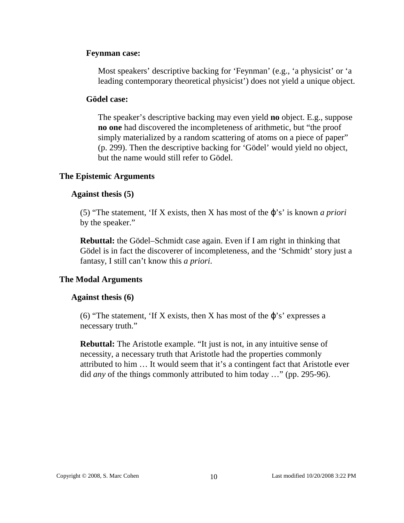### **Feynman case:**

Most speakers' descriptive backing for 'Feynman' (e.g., 'a physicist' or 'a leading contemporary theoretical physicist') does not yield a unique object.

#### **Gödel case:**

The speaker's descriptive backing may even yield **no** object. E.g., suppose **no one** had discovered the incompleteness of arithmetic, but "the proof simply materialized by a random scattering of atoms on a piece of paper" (p. 299). Then the descriptive backing for 'Gödel' would yield no object, but the name would still refer to Gödel.

#### **The Epistemic Arguments**

### **Against thesis (5)**

(5) "The statement, 'If X exists, then X has most of the ϕ's' is known *a priori* by the speaker."

**Rebuttal:** the Gödel–Schmidt case again. Even if I am right in thinking that Gödel is in fact the discoverer of incompleteness, and the 'Schmidt' story just a fantasy, I still can't know this *a priori*.

### **The Modal Arguments**

#### **Against thesis (6)**

(6) "The statement, 'If X exists, then X has most of the  $\varphi$ 's' expresses a necessary truth."

**Rebuttal:** The Aristotle example. "It just is not, in any intuitive sense of necessity, a necessary truth that Aristotle had the properties commonly attributed to him … It would seem that it's a contingent fact that Aristotle ever did *any* of the things commonly attributed to him today …" (pp. 295-96).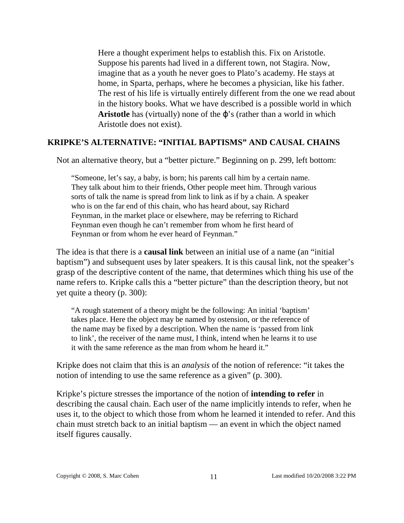Here a thought experiment helps to establish this. Fix on Aristotle. Suppose his parents had lived in a different town, not Stagira. Now, imagine that as a youth he never goes to Plato's academy. He stays at home, in Sparta, perhaps, where he becomes a physician, like his father. The rest of his life is virtually entirely different from the one we read about in the history books. What we have described is a possible world in which **Aristotle** has (virtually) none of the ϕ's (rather than a world in which Aristotle does not exist).

### **KRIPKE'S ALTERNATIVE: "INITIAL BAPTISMS" AND CAUSAL CHAINS**

Not an alternative theory, but a "better picture." Beginning on p. 299, left bottom:

"Someone, let's say, a baby, is born; his parents call him by a certain name. They talk about him to their friends, Other people meet him. Through various sorts of talk the name is spread from link to link as if by a chain. A speaker who is on the far end of this chain, who has heard about, say Richard Feynman, in the market place or elsewhere, may be referring to Richard Feynman even though he can't remember from whom he first heard of Feynman or from whom he ever heard of Feynman."

The idea is that there is a **causal link** between an initial use of a name (an "initial baptism") and subsequent uses by later speakers. It is this causal link, not the speaker's grasp of the descriptive content of the name, that determines which thing his use of the name refers to. Kripke calls this a "better picture" than the description theory, but not yet quite a theory (p. 300):

"A rough statement of a theory might be the following: An initial 'baptism' takes place. Here the object may be named by ostension, or the reference of the name may be fixed by a description. When the name is 'passed from link to link', the receiver of the name must, I think, intend when he learns it to use it with the same reference as the man from whom he heard it."

Kripke does not claim that this is an *analysis* of the notion of reference: "it takes the notion of intending to use the same reference as a given" (p. 300).

Kripke's picture stresses the importance of the notion of **intending to refer** in describing the causal chain. Each user of the name implicitly intends to refer, when he uses it, to the object to which those from whom he learned it intended to refer. And this chain must stretch back to an initial baptism — an event in which the object named itself figures causally.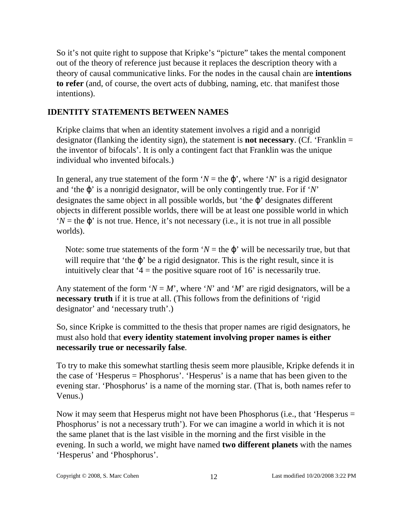So it's not quite right to suppose that Kripke's "picture" takes the mental component out of the theory of reference just because it replaces the description theory with a theory of causal communicative links. For the nodes in the causal chain are **intentions to refer** (and, of course, the overt acts of dubbing, naming, etc. that manifest those intentions).

# **IDENTITY STATEMENTS BETWEEN NAMES**

Kripke claims that when an identity statement involves a rigid and a nonrigid designator (flanking the identity sign), the statement is **not necessary**. (Cf. 'Franklin = the inventor of bifocals'. It is only a contingent fact that Franklin was the unique individual who invented bifocals.)

In general, any true statement of the form ' $N =$  the  $\varphi$ ', where '*N*' is a rigid designator and 'the ϕ' is a nonrigid designator, will be only contingently true. For if '*N*' designates the same object in all possible worlds, but 'the ϕ' designates different objects in different possible worlds, there will be at least one possible world in which  $'N$  = the  $\varphi'$  is not true. Hence, it's not necessary (i.e., it is not true in all possible worlds).

Note: some true statements of the form ' $N =$  the  $\varphi$ ' will be necessarily true, but that will require that 'the  $\varphi$ ' be a rigid designator. This is the right result, since it is intuitively clear that  $4$  = the positive square root of 16' is necessarily true.

Any statement of the form ' $N = M$ ', where '*N*' and '*M*' are rigid designators, will be a **necessary truth** if it is true at all. (This follows from the definitions of 'rigid designator' and 'necessary truth'.)

So, since Kripke is committed to the thesis that proper names are rigid designators, he must also hold that **every identity statement involving proper names is either necessarily true or necessarily false**.

To try to make this somewhat startling thesis seem more plausible, Kripke defends it in the case of 'Hesperus = Phosphorus'. 'Hesperus' is a name that has been given to the evening star. 'Phosphorus' is a name of the morning star. (That is, both names refer to Venus.)

Now it may seem that Hesperus might not have been Phosphorus (i.e., that 'Hesperus = Phosphorus' is not a necessary truth'). For we can imagine a world in which it is not the same planet that is the last visible in the morning and the first visible in the evening. In such a world, we might have named **two different planets** with the names 'Hesperus' and 'Phosphorus'.